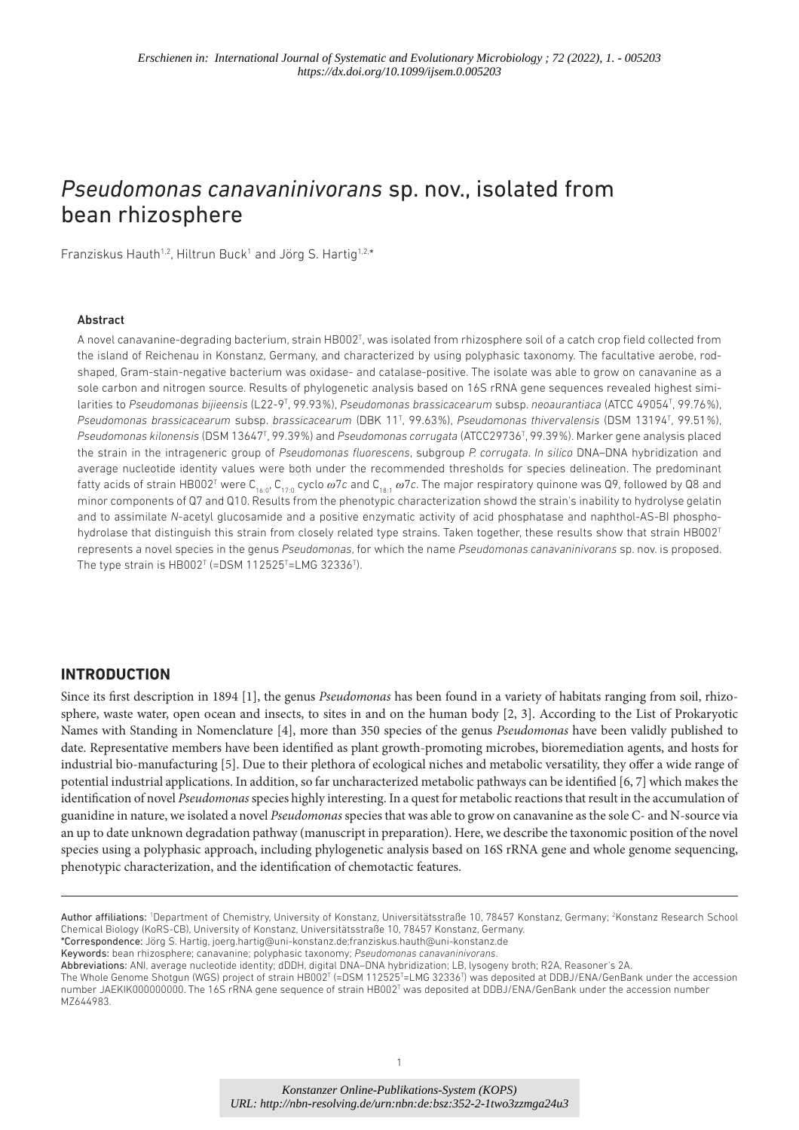# *Pseudomonas canavaninivorans* sp. nov., isolated from bean rhizosphere

Franziskus Hauth<sup>1,2</sup>, Hiltrun Buck<sup>1</sup> and Jörg S. Hartig<sup>1,2,\*</sup>

### Abstract

A novel canavanine-degrading bacterium, strain HB002<sup>T</sup>, was isolated from rhizosphere soil of a catch crop field collected from the island of Reichenau in Konstanz, Germany, and characterized by using polyphasic taxonomy. The facultative aerobe, rodshaped, Gram- stain- negative bacterium was oxidase- and catalase- positive. The isolate was able to grow on canavanine as a sole carbon and nitrogen source. Results of phylogenetic analysis based on 16S rRNA gene sequences revealed highest similarities to Pseudomonas bijieensis (L22-9<sup>T</sup>, 99.93%), Pseudomonas brassicacearum subsp. neoaurantiaca (ATCC 49054<sup>T</sup>, 99.76%), *Pseudomonas brassicacearum* subsp. *brassicacearum* (DBK 11<sup>T</sup> , 99.63 %), *Pseudomonas thivervalensis* (DSM 13194<sup>T</sup> , 99.51 %), *Pseudomonas kilonensis* (DSM 13647<sup>T</sup> , 99.39 %) and *Pseudomonas corrugata* (ATCC29736<sup>T</sup> , 99.39 %). Marker gene analysis placed the strain in the intrageneric group of *Pseudomonas fluorescens*, subgroup *P. corrugata*. *In silico* DNA–DNA hybridization and average nucleotide identity values were both under the recommended thresholds for species delineation. The predominant fatty acids of strain HB002<sup>T</sup> were C<sub>16:0</sub>, C<sub>17:0</sub> cyclo  $\omega$ 7c and C<sub>18:1</sub>  $\omega$ 7c. The major respiratory quinone was Q9, followed by Q8 and minor components of Q7 and Q10. Results from the phenotypic characterization showd the strain's inability to hydrolyse gelatin and to assimilate *N*-acetyl glucosamide and a positive enzymatic activity of acid phosphatase and naphthol-AS-BI phosphohydrolase that distinguish this strain from closely related type strains. Taken together, these results show that strain HB002<sup>T</sup> represents a novel species in the genus *Pseudomonas*, for which the name *Pseudomonas canavaninivorans* sp. nov. is proposed. The type strain is  $HBOO2^T$  (=DSM 112525<sup>T</sup>=LMG 32336<sup>T</sup>).

### **INTRODUCTION**

Since its first description in 1894 [1], the genus *Pseudomonas* has been found in a variety of habitats ranging from soil, rhizosphere, waste water, open ocean and insects, to sites in and on the human body [2, 3]. According to the List of Prokaryotic Names with Standing in Nomenclature [4], more than 350 species of the genus *Pseudomonas* have been validly published to date. Representative members have been identified as plant growth- promoting microbes, bioremediation agents, and hosts for industrial bio- manufacturing [5]. Due to their plethora of ecological niches and metabolic versatility, they offer a wide range of potential industrial applications. In addition, so far uncharacterized metabolic pathways can be identified [6, 7] which makes the identification of novel Pseudomonas species highly interesting. In a quest for metabolic reactions that result in the accumulation of guanidine in nature, we isolated a novel Pseudomonas species that was able to grow on canavanine as the sole C- and N-source via an up to date unknown degradation pathway (manuscript in preparation). Here, we describe the taxonomic position of the novel species using a polyphasic approach, including phylogenetic analysis based on 16S rRNA gene and whole genome sequencing, phenotypic characterization, and the identification of chemotactic features.

\*Correspondence: Jörg S. Hartig, joerg. hartig@ uni- konstanz. de; franziskus. hauth@ uni- konstanz. de

Keywords: bean rhizosphere; canavanine; polyphasic taxonomy; *Pseudomonas canavaninivorans*.

Author affiliations: <sup>1</sup>Department of Chemistry, University of Konstanz, Universitätsstraße 10, 78457 Konstanz, Germany; <sup>2</sup>Konstanz Research School Chemical Biology (KoRS- CB), University of Konstanz, Universitätsstraße 10, 78457 Konstanz, Germany.

Abbreviations: ANI, average nucleotide identity; dDDH, digital DNA–DNA hybridization; LB, lysogeny broth; R2A, Reasoner's 2A.

The Whole Genome Shotgun (WGS) project of strain HB002<sup>T</sup> (=DSM 112525<sup>T</sup>=LMG 32336<sup>T</sup>) was deposited at DDBJ/ENA/GenBank under the accession number JAEKIK000000000. The 16S rRNA gene sequence of strain HB002<sup>T</sup> was deposited at DDBJ/ENA/GenBank under the accession number MZ644983.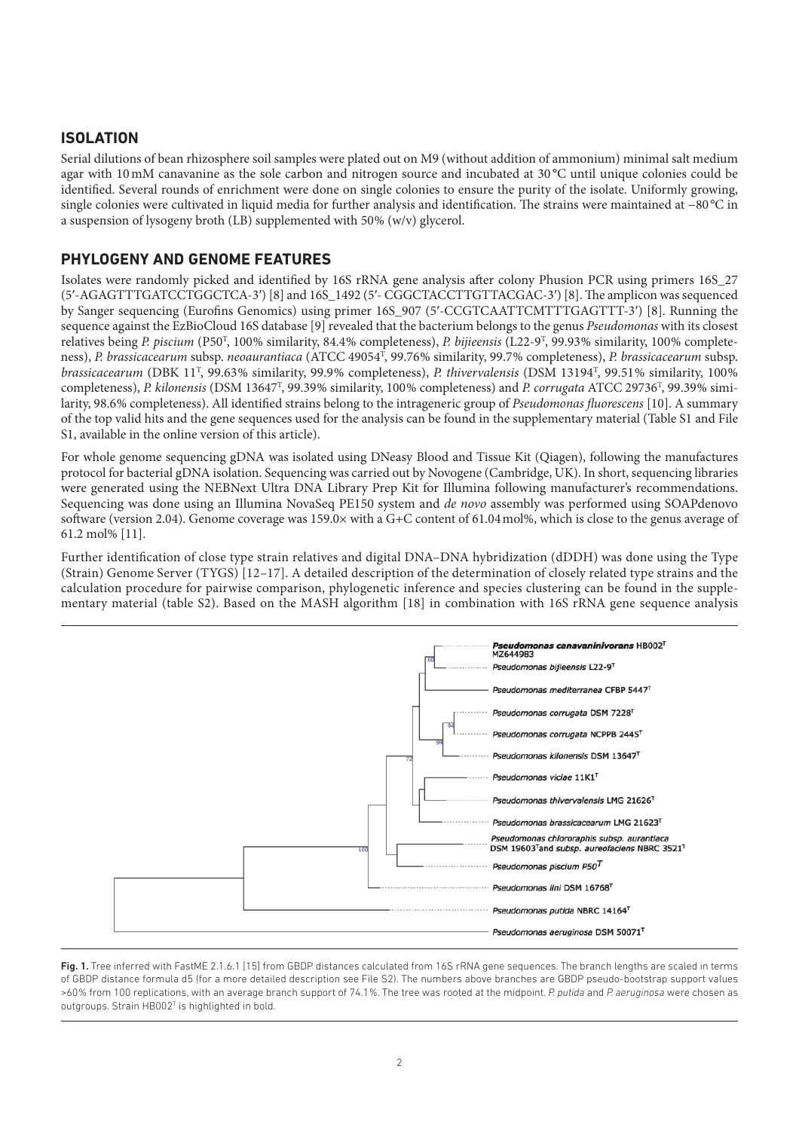## **ISOLATION**

Serial dilutions of bean rhizosphere soil samples were plated out on M9 (without addition of ammonium) minimal salt medium agar with 10 mM canavanine as the sole carbon and nitrogen source and incubated at 30 °C until unique colonies could be identified. Several rounds of enrichment were done on single colonies to ensure the purity of the isolate. Uniformly growing, single colonies were cultivated in liquid media for further analysis and identification. The strains were maintained at −80 °C in a suspension of lysogeny broth  $(LB)$  supplemented with 50%  $(w/v)$  glycerol.

### **PHYLOGENY AND GENOME FEATURES**

Isolates were randomly picked and identified by 16S rRNA gene analysis after colony Phusion PCR using primers 16S\_27 (5'-AGAGTTTGATCCTGGCTCA-3') [8] and 16S\_1492 (5'- CGGCTACCTTGTTACGAC-3') [8]. The amplicon was sequenced by Sanger sequencing (Eurofins Genomics) using primer 16S\_907 (5'-CCGTCAATTCMTTTGAGTTT-3') [8]. Running the sequence against the EzBioCloud 16S database [9] revealed that the bacterium belongs to the genus *Pseudomonas* with its closest relatives being *P. piscium* (P50<sup>T</sup>, 100% similarity, 84.4% completeness), *P. bijieensis* (L22-9<sup>T</sup>, 99.93% similarity, 100% completeness), P. brassicacearum subsp. neoaurantiaca (ATCC 49054<sup>T</sup>, 99.76% similarity, 99.7% completeness), P. brassicacearum subsp. brassicacearum (DBK 11<sup>T</sup>, 99.63% similarity, 99.9% completeness), P. thivervalensis (DSM 13194<sup>T</sup>, 99.51% similarity, 100% completeness), P. kilonensis (DSM 13647<sup>T</sup>, 99.39% similarity, 100% completeness) and P. corrugata ATCC 29736<sup>T</sup>, 99.39% similarity, 98.6% completeness). All identified strains belong to the intrageneric group of Pseudomonas fluorescens [10]. A summary of the top valid hits and the gene sequences used for the analysis can be found in the supplementary material (Table S1 and File S1, available in the online version of this article).

For whole genome sequencing gDNA was isolated using DNeasy Blood and Tissue Kit (Qiagen), following the manufactures protocol for bacterial gDNA isolation. Sequencing was carried out by Novogene (Cambridge, UK). In short, sequencing libraries were generated using the NEBNext Ultra DNA Library Prep Kit for Illumina following manufacturer's recommendations. Sequencing was done using an Illumina NovaSeq PE150 system and de novo assembly was performed using SOAPdenovo software (version 2.04). Genome coverage was 159.0 $\times$  with a G+C content of 61.04 mol%, which is close to the genus average of 61.2 mol% [11].

Further identification of close type strain relatives and digital DNA–DNA hybridization (dDDH) was done using the Type (Strain) Genome Server (TYGS) [12–17]. A detailed description of the determination of closely related type strains and the calculation procedure for pairwise comparison, phylogenetic inference and species clustering can be found in the supplementary material (table S2). Based on the MASH algorithm [18] in combination with 16S rRNA gene sequence analysis



Fig. 1. Tree inferred with FastME 2.1.6.1 [15] from GBDP distances calculated from 16S rRNA gene sequences. The branch lengths are scaled in terms of GBDP distance formula d5 (for a more detailed description see File S2). The numbers above branches are GBDP pseudo- bootstrap support values >60 % from 100 replications, with an average branch support of 74.1 %. The tree was rooted at the midpoint. *P. putida* and *P. aeruginosa* were chosen as outgroups. Strain HB002<sup>T</sup> is highlighted in bold.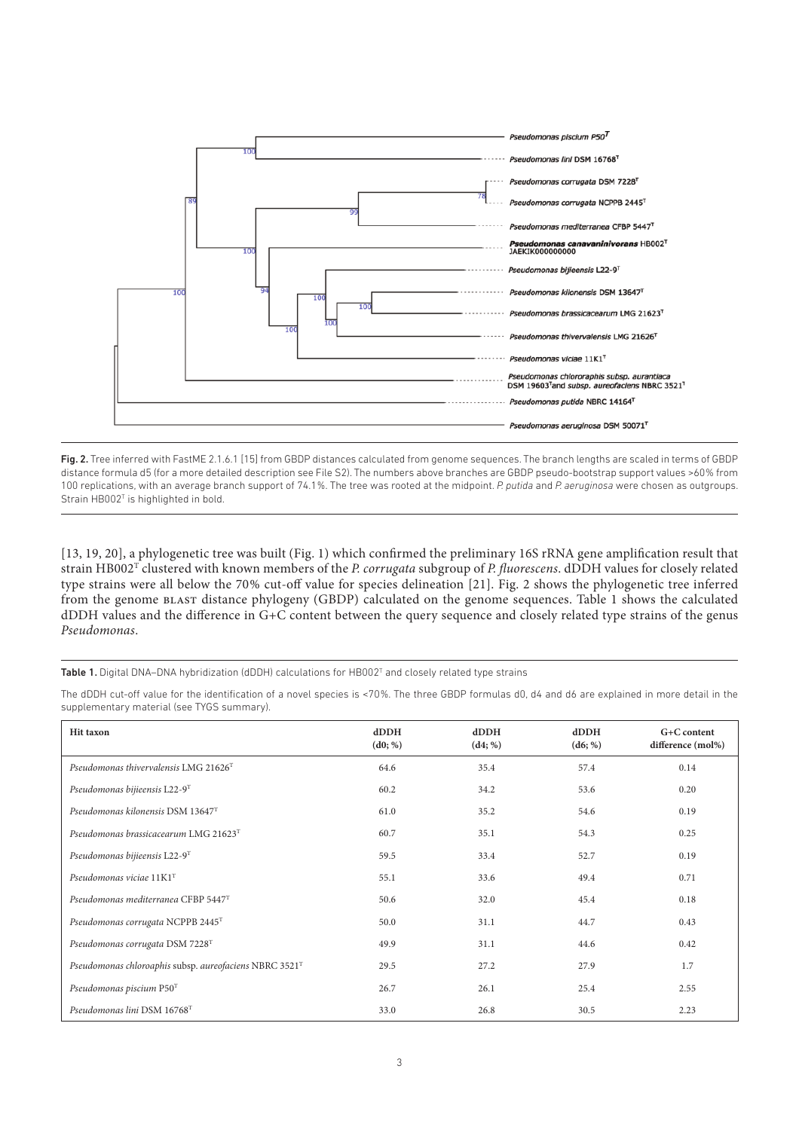

Fig. 2. Tree inferred with FastME 2.1.6.1 [15] from GBDP distances calculated from genome sequences. The branch lengths are scaled in terms of GBDP distance formula d5 (for a more detailed description see File S2). The numbers above branches are GBDP pseudo- bootstrap support values >60 % from 100 replications, with an average branch support of 74.1 %. The tree was rooted at the midpoint. *P. putida* and *P. aeruginosa* were chosen as outgroups. Strain HB002<sup>T</sup> is highlighted in bold.

[13, 19, 20], a phylogenetic tree was built (Fig.1) which confirmed the preliminary 16S rRNA gene amplification result that strain HB002 $^{\rm T}$  clustered with known members of the *P. corrugata* subgroup of *P. fluorescens*. dDDH values for closely related type strains were all below the 70% cut-off value for species delineation [21]. Fig. 2 shows the phylogenetic tree inferred from the genome BLAST distance phylogeny (GBDP) calculated on the genome sequences. Table 1 shows the calculated dDDH values and the difference in G+C content between the query sequence and closely related type strains of the genus Pseudomonas.

### Table 1. Digital DNA-DNA hybridization (dDDH) calculations for HB002<sup>T</sup> and closely related type strains

The dDDH cut- off value for the identification of a novel species is<70 %. The three GBDP formulas d0, d4 and d6 are explained in more detail in the supplementary material (see TYGS summary).

| <b>Hit taxon</b>                                       | $d$ DDH<br>(d0; %) | $d$ DDH<br>(d4; %) | dDDH<br>(d6; %) | G+C content<br>difference (mol%) |
|--------------------------------------------------------|--------------------|--------------------|-----------------|----------------------------------|
| Pseudomonas thivervalensis LMG 21626 <sup>T</sup>      | 64.6               | 35.4               | 57.4            | 0.14                             |
| Pseudomonas bijieensis $L22-9T$                        | 60.2               | 34.2               | 53.6            | 0.20                             |
| Pseudomonas kilonensis DSM 13647 <sup>T</sup>          | 61.0               | 35.2               | 54.6            | 0.19                             |
| Pseudomonas brassicacearum LMG 21623 $T$               | 60.7               | 35.1               | 54.3            | 0.25                             |
| Pseudomonas bijieensis L22-9T                          | 59.5               | 33.4               | 52.7            | 0.19                             |
| Pseudomonas viciae $11K1T$                             | 55.1               | 33.6               | 49.4            | 0.71                             |
| Pseudomonas mediterranea CFBP 5447 <sup>T</sup>        | 50.6               | 32.0               | 45.4            | 0.18                             |
| Pseudomonas corrugata NCPPB 2445T                      | 50.0               | 31.1               | 44.7            | 0.43                             |
| Pseudomonas corrugata DSM 7228T                        | 49.9               | 31.1               | 44.6            | 0.42                             |
| Pseudomonas chloroaphis subsp. aureofaciens NBRC 3521T | 29.5               | 27.2               | 27.9            | 1.7                              |
| Pseudomonas piscium P50T                               | 26.7               | 26.1               | 25.4            | 2.55                             |
| Pseudomonas lini DSM 16768T                            | 33.0               | 26.8               | 30.5            | 2.23                             |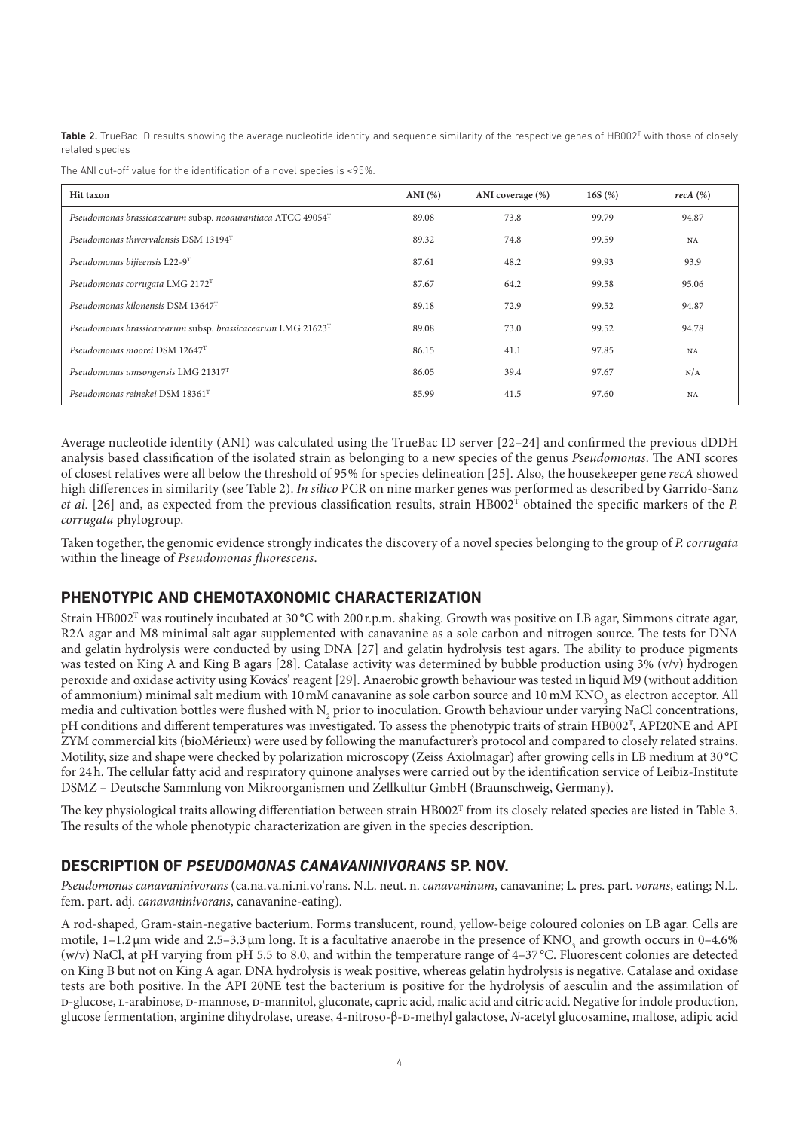Table 2. TrueBac ID results showing the average nucleotide identity and sequence similarity of the respective genes of HB002<sup>T</sup> with those of closely related species

The ANI cut-off value for the identification of a novel species is  $<95\%$ .

| <b>Hit taxon</b>                                            | ANI $(%)$ | ANI coverage (%) | 16S $(%)$ | $recA$ $(\%)$ |
|-------------------------------------------------------------|-----------|------------------|-----------|---------------|
| Pseudomonas brassicacearum subsp. neoaurantiaca ATCC 49054T | 89.08     | 73.8             | 99.79     | 94.87         |
| Pseudomonas thivervalensis DSM 13194T                       | 89.32     | 74.8             | 99.59     | NA            |
| Pseudomonas bijieensis L22-9T                               | 87.61     | 48.2             | 99.93     | 93.9          |
| Pseudomonas corrugata LMG 2172T                             | 87.67     | 64.2             | 99.58     | 95.06         |
| Pseudomonas kilonensis DSM 13647 <sup>T</sup>               | 89.18     | 72.9             | 99.52     | 94.87         |
| Pseudomonas brassicacearum subsp. brassicacearum LMG 21623T | 89.08     | 73.0             | 99.52     | 94.78         |
| Pseudomonas moorei DSM 12647 <sup>T</sup>                   | 86.15     | 41.1             | 97.85     | <b>NA</b>     |
| Pseudomonas umsongensis LMG 21317T                          | 86.05     | 39.4             | 97.67     | N/A           |
| Pseudomonas reinekei DSM 18361T                             | 85.99     | 41.5             | 97.60     | NA            |

Average nucleotide identity (ANI) was calculated using the TrueBac ID server [22–24] and confirmed the previous dDDH analysis based classification of the isolated strain as belonging to a new species of the genus Pseudomonas. The ANI scores of closest relatives were all below the threshold of 95 % for species delineation [25]. Also, the housekeeper gene recA showed high differences in similarity (see Table 2). In silico PCR on nine marker genes was performed as described by Garrido-Sanz et al. [26] and, as expected from the previous classification results, strain  $HBO02<sup>T</sup>$  obtained the specific markers of the P. corrugata phylogroup.

Taken together, the genomic evidence strongly indicates the discovery of a novel species belonging to the group of P. corrugata within the lineage of Pseudomonas fluorescens.

### **PHENOTYPIC AND CHEMOTAXONOMIC CHARACTERIZATION**

Strain HB002<sup>T</sup> was routinely incubated at 30 °C with 200 r.p.m. shaking. Growth was positive on LB agar, Simmons citrate agar, R2A agar and M8 minimal salt agar supplemented with canavanine as a sole carbon and nitrogen source. The tests for DNA and gelatin hydrolysis were conducted by using DNA [27] and gelatin hydrolysis test agars. The ability to produce pigments was tested on King A and King B agars [28]. Catalase activity was determined by bubble production using 3% (v/v) hydrogen peroxide and oxidase activity using Kovács' reagent [29]. Anaerobic growth behaviour was tested in liquid M9 (without addition of ammonium) minimal salt medium with  $10 \text{ mM}$  canavanine as sole carbon source and  $10 \text{ mM}$  KNO<sub>3</sub> as electron acceptor. All media and cultivation bottles were flushed with N<sub>2</sub> prior to inoculation. Growth behaviour under varying NaCl concentrations, pH conditions and different temperatures was investigated. To assess the phenotypic traits of strain HB002<sup>T</sup>, API20NE and API ZYM commercial kits (bioMérieux) were used by following the manufacturer's protocol and compared to closely related strains. Motility, size and shape were checked by polarization microscopy (Zeiss Axiolmagar) after growing cells in LB medium at 30 °C for 24 h. The cellular fatty acid and respiratory quinone analyses were carried out by the identification service of Leibiz-Institute DSMZ – Deutsche Sammlung von Mikroorganismen und Zellkultur GmbH (Braunschweig, Germany).

The key physiological traits allowing differentiation between strain HB002 $^{\text{T}}$  from its closely related species are listed in Table 3. The results of the whole phenotypic characterization are given in the species description.

### **DESCRIPTION OF** *PSEUDOMONAS CANAVANINIVORANS* **SP. NOV.**

Pseudomonas canavaninivorans (ca.na.va.ni.ni.vo'rans. N.L. neut. n. canavaninum, canavanine; L. pres. part. vorans, eating; N.L. fem. part. adj. *canavaninivorans*, canavanine-eating).

A rod- shaped, Gram- stain- negative bacterium. Forms translucent, round, yellow- beige coloured colonies on LB agar. Cells are motile,  $1-1.2 \mu$ m wide and  $2.5-3.3 \mu$ m long. It is a facultative anaerobe in the presence of KNO<sub>3</sub> and growth occurs in 0-4.6% (w/v) NaCl, at pH varying from pH 5.5 to 8.0, and within the temperature range of 4–37 °C. Fluorescent colonies are detected on King B but not on King A agar. DNA hydrolysis is weak positive, whereas gelatin hydrolysis is negative. Catalase and oxidase tests are both positive. In the API 20NE test the bacterium is positive for the hydrolysis of aesculin and the assimilation of d- glucose, l- arabinose, d- mannose, d- mannitol, gluconate, capric acid, malic acid and citric acid. Negative for indole production, glucose fermentation, arginine dihydrolase, urease, 4-nitroso-β-D-methyl galactose, N-acetyl glucosamine, maltose, adipic acid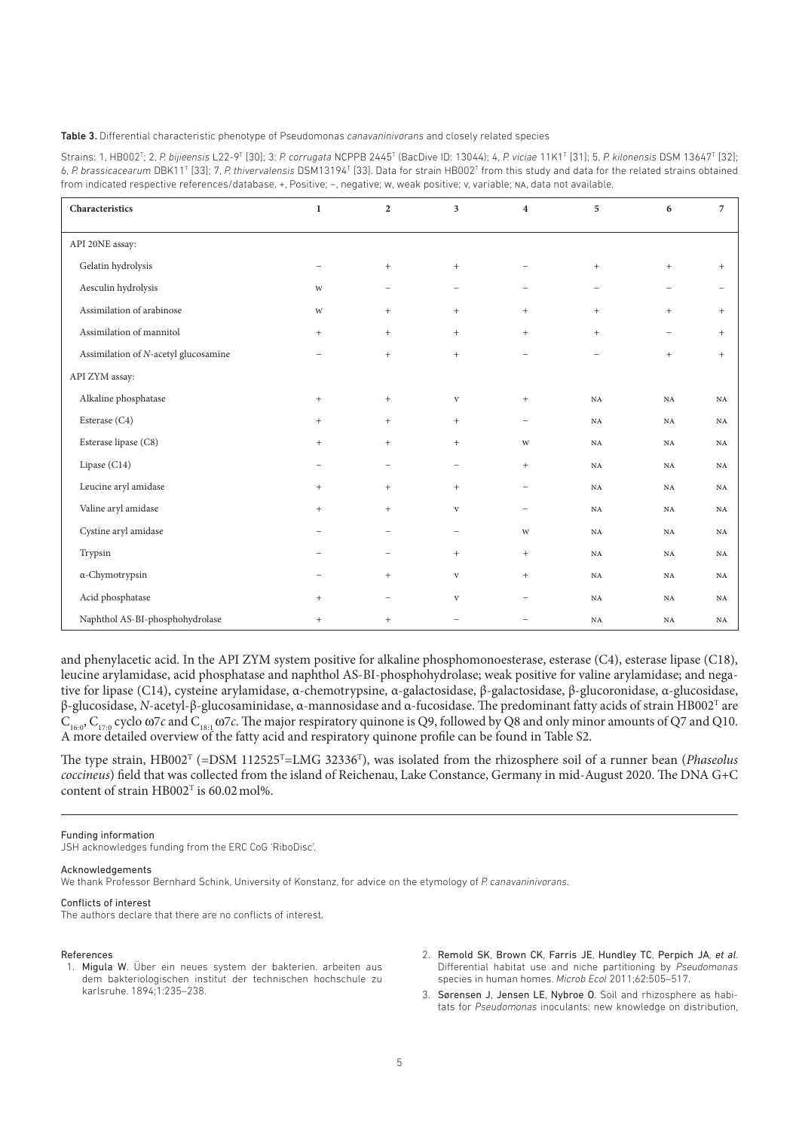#### Table 3. Differential characteristic phenotype of Pseudomonas *canavaninivorans* and closely related species

| Strains: 1, HB002 <sup>T</sup> ; 2, P. bijieensis L22-9 <sup>T</sup> [30]; 3: P. corrugata NCPPB 2445 <sup>T</sup> (BacDive ID: 13044); 4, P. viciae 11K1 <sup>T</sup> [31]; 5, P. kilonensis DSM 13647 <sup>T</sup> [32]; |
|----------------------------------------------------------------------------------------------------------------------------------------------------------------------------------------------------------------------------|
| 6, P. brassicacearum DBK11 <sup>T</sup> [33]; 7, P. thivervalensis DSM13194 <sup>T</sup> [33]. Data for strain HB002 <sup>T</sup> from this study and data for the related strains obtained                                |
| from indicated respective references/database. +, Positive; -, negative; w, weak positive; v, variable; NA, data not available.                                                                                            |

| Characteristics                      | $\mathbf{1}$                     | $\overline{2}$           | 3                 | $\overline{\mathbf{4}}$          | 5                        | 6           | $\overline{7}$ |
|--------------------------------------|----------------------------------|--------------------------|-------------------|----------------------------------|--------------------------|-------------|----------------|
| API 20NE assay:                      |                                  |                          |                   |                                  |                          |             |                |
| Gelatin hydrolysis                   | -                                | $^{+}$                   | $^{+}$            |                                  | $^{+}$                   | $^{+}$      | $^{+}$         |
|                                      |                                  |                          |                   |                                  |                          |             |                |
| Aesculin hydrolysis                  | W                                | $\overline{\phantom{0}}$ | $\qquad \qquad -$ | $\overline{\phantom{a}}$         | ÷,                       | ÷,          |                |
| Assimilation of arabinose            | W                                | $^{+}$                   | $^{+}$            | $\begin{array}{c} + \end{array}$ | $+$                      | $+$         | $^{+}$         |
| Assimilation of mannitol             | $\begin{array}{c} + \end{array}$ | $^{+}$                   | $^{+}$            | $\begin{array}{c} + \end{array}$ | $^{+}$                   | -           | $^{+}$         |
| Assimilation of N-acetyl glucosamine | -                                | $\qquad \qquad +$        | $^{+}$            | $\overline{\phantom{0}}$         | $\overline{\phantom{0}}$ | $^{+}$      | $^{+}$         |
| API ZYM assay:                       |                                  |                          |                   |                                  |                          |             |                |
| Alkaline phosphatase                 | $^{+}$                           | $\qquad \qquad +$        | $\mathbf{V}$      | $\qquad \qquad +$                | $_{\rm NA}$              | $_{\rm NA}$ | $_{\rm NA}$    |
| Esterase (C4)                        | $\qquad \qquad +$                | $^{+}$                   | $^{+}$            | $\overline{\phantom{0}}$         | $_{\rm NA}$              | $_{\rm NA}$ | $_{\rm NA}$    |
| Esterase lipase (C8)                 | $^{+}$                           | $^{+}$                   | $^{+}$            | W                                | $_{\rm NA}$              | $_{\rm NA}$ | $_{\rm NA}$    |
| Lipase (C14)                         | $\overline{\phantom{m}}$         | $\overline{\phantom{0}}$ | $\qquad \qquad -$ | $\qquad \qquad +$                | NA                       | $_{\rm NA}$ | NA             |
| Leucine aryl amidase                 | $^{+}$                           | $+$                      | $+$               | $\overline{\phantom{0}}$         | NA                       | NA          | NA             |
| Valine aryl amidase                  | $^{+}$                           | $^{+}$                   | $\mathbf{V}$      | $\overline{\phantom{a}}$         | $_{\rm NA}$              | $_{\rm NA}$ | NA             |
| Cystine aryl amidase                 | ۰                                | -                        | -                 | W                                | $_{\rm NA}$              | $_{\rm NA}$ | $_{\rm NA}$    |
| Trypsin                              | ۰                                | -                        | $+$               | $\begin{array}{c} + \end{array}$ | NA                       | $_{\rm NA}$ | NA             |
| α-Chymotrypsin                       | $\overline{\phantom{0}}$         | $^{+}$                   | $\mathbf{V}$      | $\begin{array}{c} + \end{array}$ | $_{\rm NA}$              | $_{\rm NA}$ | $_{\rm NA}$    |
| Acid phosphatase                     | $^{+}$                           | -                        | $\mathbf{V}$      | -                                | NA                       | $_{\rm NA}$ | <b>NA</b>      |
| Naphthol AS-BI-phosphohydrolase      | $^{+}$                           | $^{+}$                   | ۰                 |                                  | $_{\rm NA}$              | $_{\rm NA}$ | $_{\rm NA}$    |

and phenylacetic acid. In the API ZYM system positive for alkaline phosphomonoesterase, esterase (C4), esterase lipase (C18), leucine arylamidase, acid phosphatase and naphthol AS- BI- phosphohydrolase; weak positive for valine arylamidase; and negative for lipase (C14), cysteine arylamidase, α-chemotrypsine, α-galactosidase, β-galactosidase, β-glucoronidase, α-glucosidase, β-glucosidase, N-acetyl-β-glucosaminidase, α-mannosidase and α-fucosidase. The predominant fatty acids of strain HB002<sup>T</sup> are  $C_{16,0}$ ,  $C_{17,0}$  cyclo  $\omega$ 7c and  $C_{18,1}$   $\omega$ 7c. The major respiratory quinone is Q9, followed by Q8 and only minor amounts of Q7 and Q10. A more detailed overview of the fatty acid and respiratory quinone profile can be found in Table S2.

The type strain, HB002<sup>T</sup> (=DSM 112525<sup>T</sup>=LMG 32336<sup>T</sup>), was isolated from the rhizosphere soil of a runner bean (*Phaseolus* coccineus) field that was collected from the island of Reichenau, Lake Constance, Germany in mid-August 2020. The DNA G+C content of strain  $HB002^T$  is 60.02 mol%.

Funding information

JSH acknowledges funding from the ERC CoG 'RiboDisc'.

#### Acknowledgements

We thank Professor Bernhard Schink, University of Konstanz, for advice on the etymology of *P. canavaninivorans*.

#### Conflicts of interest

The authors declare that there are no conflicts of interest.

#### References

- 1. Migula W. Über ein neues system der bakterien. arbeiten aus dem bakteriologischen institut der technischen hochschule zu karlsruhe. 1894;1:235–238.
- 2. Remold SK, Brown CK, Farris JE, Hundley TC, Perpich JA, *et al*. Differential habitat use and niche partitioning by *Pseudomonas* species in human homes. *Microb Ecol* 2011;62:505–517.
- 3. Sørensen J, Jensen LE, Nybroe O. Soil and rhizosphere as habitats for *Pseudomonas* inoculants: new knowledge on distribution,